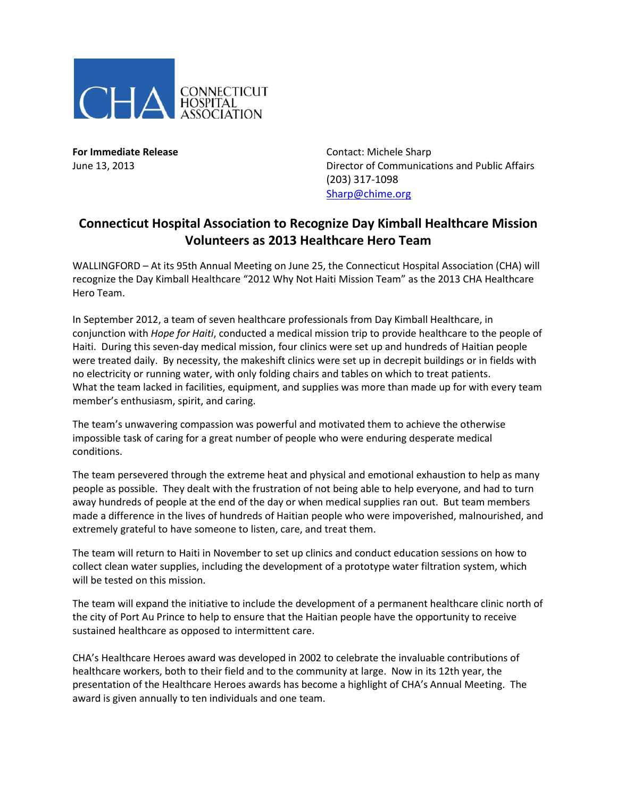

**For Immediate Release Contact: Michele Sharp** June 13, 2013 Director of Communications and Public Affairs (203) 317-1098 [Sharp@chime.org](mailto:Sharp@chime.org)

## **Connecticut Hospital Association to Recognize Day Kimball Healthcare Mission Volunteers as 2013 Healthcare Hero Team**

WALLINGFORD – At its 95th Annual Meeting on June 25, the Connecticut Hospital Association (CHA) will recognize the Day Kimball Healthcare "2012 Why Not Haiti Mission Team" as the 2013 CHA Healthcare Hero Team.

In September 2012, a team of seven healthcare professionals from Day Kimball Healthcare, in conjunction with *Hope for Haiti*, conducted a medical mission trip to provide healthcare to the people of Haiti. During this seven-day medical mission, four clinics were set up and hundreds of Haitian people were treated daily. By necessity, the makeshift clinics were set up in decrepit buildings or in fields with no electricity or running water, with only folding chairs and tables on which to treat patients. What the team lacked in facilities, equipment, and supplies was more than made up for with every team member's enthusiasm, spirit, and caring.

The team's unwavering compassion was powerful and motivated them to achieve the otherwise impossible task of caring for a great number of people who were enduring desperate medical conditions.

The team persevered through the extreme heat and physical and emotional exhaustion to help as many people as possible. They dealt with the frustration of not being able to help everyone, and had to turn away hundreds of people at the end of the day or when medical supplies ran out. But team members made a difference in the lives of hundreds of Haitian people who were impoverished, malnourished, and extremely grateful to have someone to listen, care, and treat them.

The team will return to Haiti in November to set up clinics and conduct education sessions on how to collect clean water supplies, including the development of a prototype water filtration system, which will be tested on this mission.

The team will expand the initiative to include the development of a permanent healthcare clinic north of the city of Port Au Prince to help to ensure that the Haitian people have the opportunity to receive sustained healthcare as opposed to intermittent care.

CHA's Healthcare Heroes award was developed in 2002 to celebrate the invaluable contributions of healthcare workers, both to their field and to the community at large. Now in its 12th year, the presentation of the Healthcare Heroes awards has become a highlight of CHA's Annual Meeting. The award is given annually to ten individuals and one team.